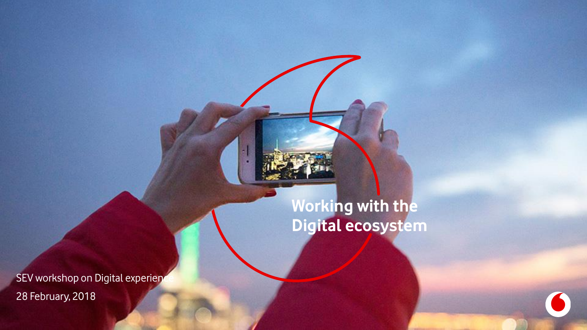**Working with the Digital ecosystem**

SEV workshop on Digital experience 28 February, 2018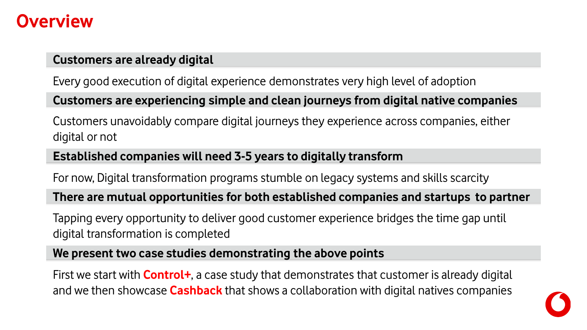## **Overview**

#### **Customers are already digital**

Every good execution of digital experience demonstrates very high level of adoption

### **Customers are experiencing simple and clean journeys from digital native companies**

Customers unavoidably compare digital journeys they experience across companies, either digital or not

### **Established companies will need 3-5 years to digitally transform**

For now, Digital transformation programs stumble on legacy systems and skills scarcity

### **There are mutual opportunities for both established companies and startups to partner**

Tapping every opportunity to deliver good customer experience bridges the time gap until digital transformation is completed

#### **We present two case studies demonstrating the above points**

First we start with **Control+**, a case study that demonstrates that customer is already digital and we then showcase **Cashback** that shows a collaboration with digital natives companies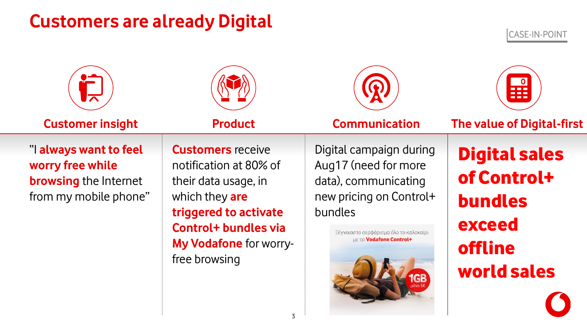# **Customers are already Digital**

CASE-IN-POINT

| <b>Customer insight</b>                                                                             | <b>Product</b>                                                                                                                                                                           | <b>Communication</b>                                                                                                                                                                       | ---<br>---<br>---<br>The value of Digital-first                                                  |
|-----------------------------------------------------------------------------------------------------|------------------------------------------------------------------------------------------------------------------------------------------------------------------------------------------|--------------------------------------------------------------------------------------------------------------------------------------------------------------------------------------------|--------------------------------------------------------------------------------------------------|
| "I always want to feel<br>worry free while<br><b>browsing</b> the Internet<br>from my mobile phone" | <b>Customers</b> receive<br>notification at 80% of<br>their data usage, in<br>which they are<br>triggered to activate<br>Control+ bundles via<br>My Vodafone for worry-<br>free browsing | Digital campaign during<br>Aug17 (need for more<br>data), communicating<br>new pricing on Control+<br><b>bundles</b><br>Ξέγνοιαστο σερφάρισμα όλο το καλοκαίρι<br>LLE TO Vodafone Control+ | <b>Digital sales</b><br>of Control+<br><b>bundles</b><br>exceed<br><b>offline</b><br>world sales |

3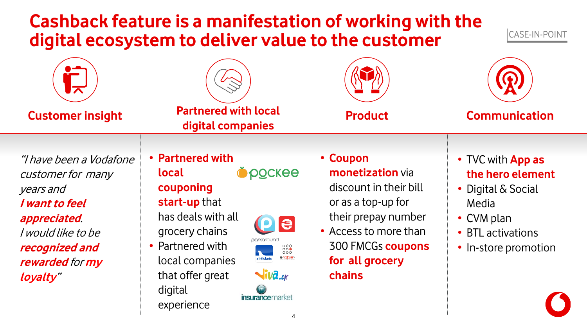## **Cashback feature is a manifestation of working with the digital ecosystem to deliver value to the customer**

CASE-IN-POINT

| <b>Customer insight</b>                                                                                                                                             | <b>Partnered with local</b><br>digital companies                                                                                                                                                                                                                                                                                  | <b>Product</b>                                                                                                                                                                 | <b>Communication</b>                                                                                                            |
|---------------------------------------------------------------------------------------------------------------------------------------------------------------------|-----------------------------------------------------------------------------------------------------------------------------------------------------------------------------------------------------------------------------------------------------------------------------------------------------------------------------------|--------------------------------------------------------------------------------------------------------------------------------------------------------------------------------|---------------------------------------------------------------------------------------------------------------------------------|
| "I have been a Vodafone"<br>customer for many<br>years and<br>I want to feel<br>appreciated.<br>I would like to be<br>recognized and<br>rewarded for my<br>loyalty" | <b>Partnered with</b><br>$\bigcirc$ pockee<br>local<br>couponing<br>start-up that<br>has deals with all<br>le<br>grocery chains<br>parkaround<br>• Partnered with<br>$000$<br>000<br>e-table <sup>®</sup><br>airtickets<br>local companies<br>$\mathbf{u}$ iva.gr<br>that offer great<br>digital<br>insurancemarket<br>experience | • Coupon<br>monetization via<br>discount in their bill<br>or as a top-up for<br>their prepay number<br>• Access to more than<br>300 FMCGs coupons<br>for all grocery<br>chains | • TVC with App as<br>the hero element<br>• Digital & Social<br>Media<br>• CVM plan<br>• BTL activations<br>• In-store promotion |